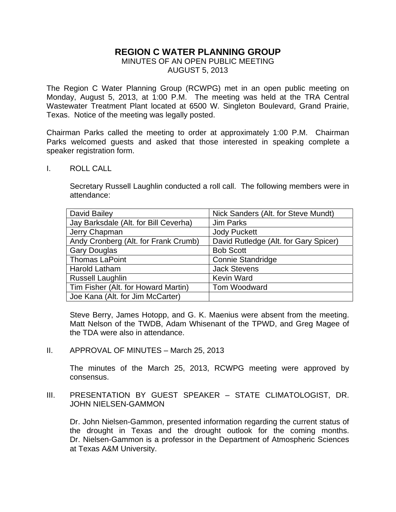# **REGION C WATER PLANNING GROUP**

## MINUTES OF AN OPEN PUBLIC MEETING AUGUST 5, 2013

The Region C Water Planning Group (RCWPG) met in an open public meeting on Monday, August 5, 2013, at 1:00 P.M. The meeting was held at the TRA Central Wastewater Treatment Plant located at 6500 W. Singleton Boulevard, Grand Prairie, Texas. Notice of the meeting was legally posted.

Chairman Parks called the meeting to order at approximately 1:00 P.M. Chairman Parks welcomed guests and asked that those interested in speaking complete a speaker registration form.

I. ROLL CALL

Secretary Russell Laughlin conducted a roll call. The following members were in attendance:

| David Bailey                          | Nick Sanders (Alt. for Steve Mundt)   |
|---------------------------------------|---------------------------------------|
| Jay Barksdale (Alt. for Bill Ceverha) | Jim Parks                             |
| Jerry Chapman                         | <b>Jody Puckett</b>                   |
| Andy Cronberg (Alt. for Frank Crumb)  | David Rutledge (Alt. for Gary Spicer) |
| <b>Gary Douglas</b>                   | <b>Bob Scott</b>                      |
| <b>Thomas LaPoint</b>                 | <b>Connie Standridge</b>              |
| <b>Harold Latham</b>                  | <b>Jack Stevens</b>                   |
| <b>Russell Laughlin</b>               | <b>Kevin Ward</b>                     |
| Tim Fisher (Alt. for Howard Martin)   | Tom Woodward                          |
| Joe Kana (Alt. for Jim McCarter)      |                                       |

Steve Berry, James Hotopp, and G. K. Maenius were absent from the meeting. Matt Nelson of the TWDB, Adam Whisenant of the TPWD, and Greg Magee of the TDA were also in attendance.

II. APPROVAL OF MINUTES – March 25, 2013

The minutes of the March 25, 2013, RCWPG meeting were approved by consensus.

III. PRESENTATION BY GUEST SPEAKER – STATE CLIMATOLOGIST, DR. JOHN NIELSEN-GAMMON

Dr. John Nielsen-Gammon, presented information regarding the current status of the drought in Texas and the drought outlook for the coming months. Dr. Nielsen-Gammon is a professor in the Department of Atmospheric Sciences at Texas A&M University.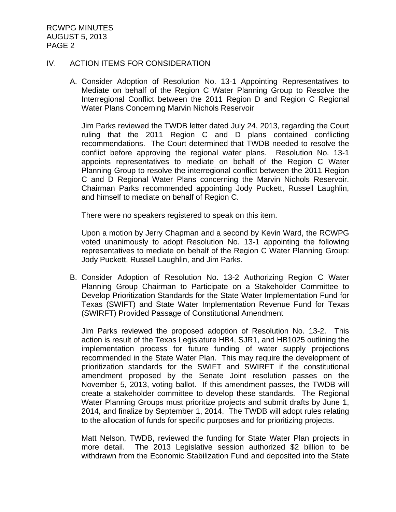#### IV. ACTION ITEMS FOR CONSIDERATION

A. Consider Adoption of Resolution No. 13-1 Appointing Representatives to Mediate on behalf of the Region C Water Planning Group to Resolve the Interregional Conflict between the 2011 Region D and Region C Regional Water Plans Concerning Marvin Nichols Reservoir

Jim Parks reviewed the TWDB letter dated July 24, 2013, regarding the Court ruling that the 2011 Region C and D plans contained conflicting recommendations. The Court determined that TWDB needed to resolve the conflict before approving the regional water plans. Resolution No. 13-1 appoints representatives to mediate on behalf of the Region C Water Planning Group to resolve the interregional conflict between the 2011 Region C and D Regional Water Plans concerning the Marvin Nichols Reservoir. Chairman Parks recommended appointing Jody Puckett, Russell Laughlin, and himself to mediate on behalf of Region C.

There were no speakers registered to speak on this item.

Upon a motion by Jerry Chapman and a second by Kevin Ward, the RCWPG voted unanimously to adopt Resolution No. 13-1 appointing the following representatives to mediate on behalf of the Region C Water Planning Group: Jody Puckett, Russell Laughlin, and Jim Parks.

B. Consider Adoption of Resolution No. 13-2 Authorizing Region C Water Planning Group Chairman to Participate on a Stakeholder Committee to Develop Prioritization Standards for the State Water Implementation Fund for Texas (SWIFT) and State Water Implementation Revenue Fund for Texas (SWIRFT) Provided Passage of Constitutional Amendment

Jim Parks reviewed the proposed adoption of Resolution No. 13-2. This action is result of the Texas Legislature HB4, SJR1, and HB1025 outlining the implementation process for future funding of water supply projections recommended in the State Water Plan. This may require the development of prioritization standards for the SWIFT and SWIRFT if the constitutional amendment proposed by the Senate Joint resolution passes on the November 5, 2013, voting ballot. If this amendment passes, the TWDB will create a stakeholder committee to develop these standards. The Regional Water Planning Groups must prioritize projects and submit drafts by June 1, 2014, and finalize by September 1, 2014. The TWDB will adopt rules relating to the allocation of funds for specific purposes and for prioritizing projects.

Matt Nelson, TWDB, reviewed the funding for State Water Plan projects in more detail. The 2013 Legislative session authorized \$2 billion to be withdrawn from the Economic Stabilization Fund and deposited into the State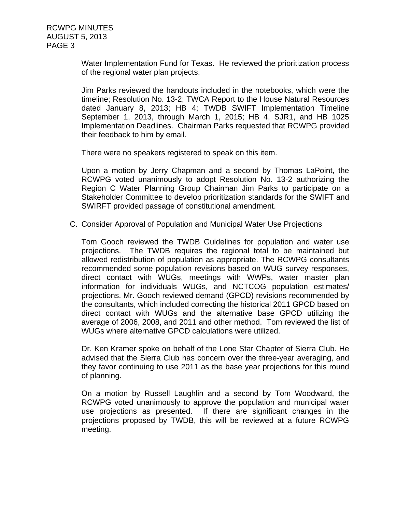Water Implementation Fund for Texas. He reviewed the prioritization process of the regional water plan projects.

Jim Parks reviewed the handouts included in the notebooks, which were the timeline; Resolution No. 13-2; TWCA Report to the House Natural Resources dated January 8, 2013; HB 4; TWDB SWIFT Implementation Timeline September 1, 2013, through March 1, 2015; HB 4, SJR1, and HB 1025 Implementation Deadlines. Chairman Parks requested that RCWPG provided their feedback to him by email.

There were no speakers registered to speak on this item.

Upon a motion by Jerry Chapman and a second by Thomas LaPoint, the RCWPG voted unanimously to adopt Resolution No. 13-2 authorizing the Region C Water Planning Group Chairman Jim Parks to participate on a Stakeholder Committee to develop prioritization standards for the SWIFT and SWIRFT provided passage of constitutional amendment.

C. Consider Approval of Population and Municipal Water Use Projections

Tom Gooch reviewed the TWDB Guidelines for population and water use projections. The TWDB requires the regional total to be maintained but allowed redistribution of population as appropriate. The RCWPG consultants recommended some population revisions based on WUG survey responses, direct contact with WUGs, meetings with WWPs, water master plan information for individuals WUGs, and NCTCOG population estimates/ projections. Mr. Gooch reviewed demand (GPCD) revisions recommended by the consultants, which included correcting the historical 2011 GPCD based on direct contact with WUGs and the alternative base GPCD utilizing the average of 2006, 2008, and 2011 and other method. Tom reviewed the list of WUGs where alternative GPCD calculations were utilized.

Dr. Ken Kramer spoke on behalf of the Lone Star Chapter of Sierra Club. He advised that the Sierra Club has concern over the three-year averaging, and they favor continuing to use 2011 as the base year projections for this round of planning.

On a motion by Russell Laughlin and a second by Tom Woodward, the RCWPG voted unanimously to approve the population and municipal water use projections as presented. If there are significant changes in the projections proposed by TWDB, this will be reviewed at a future RCWPG meeting.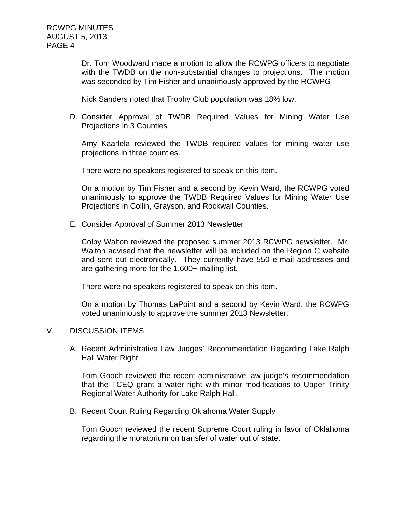Dr. Tom Woodward made a motion to allow the RCWPG officers to negotiate with the TWDB on the non-substantial changes to projections. The motion was seconded by Tim Fisher and unanimously approved by the RCWPG

Nick Sanders noted that Trophy Club population was 18% low.

D. Consider Approval of TWDB Required Values for Mining Water Use Projections in 3 Counties

Amy Kaarlela reviewed the TWDB required values for mining water use projections in three counties.

There were no speakers registered to speak on this item.

On a motion by Tim Fisher and a second by Kevin Ward, the RCWPG voted unanimously to approve the TWDB Required Values for Mining Water Use Projections in Collin, Grayson, and Rockwall Counties.

E. Consider Approval of Summer 2013 Newsletter

Colby Walton reviewed the proposed summer 2013 RCWPG newsletter. Mr. Walton advised that the newsletter will be included on the Region C website and sent out electronically. They currently have 550 e-mail addresses and are gathering more for the 1,600+ mailing list.

There were no speakers registered to speak on this item.

On a motion by Thomas LaPoint and a second by Kevin Ward, the RCWPG voted unanimously to approve the summer 2013 Newsletter.

### V. DISCUSSION ITEMS

A. Recent Administrative Law Judges' Recommendation Regarding Lake Ralph Hall Water Right

Tom Gooch reviewed the recent administrative law judge's recommendation that the TCEQ grant a water right with minor modifications to Upper Trinity Regional Water Authority for Lake Ralph Hall.

B. Recent Court Ruling Regarding Oklahoma Water Supply

Tom Gooch reviewed the recent Supreme Court ruling in favor of Oklahoma regarding the moratorium on transfer of water out of state.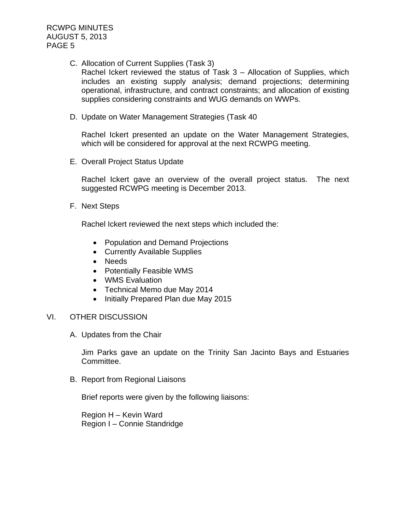RCWPG MINUTES AUGUST 5, 2013 PAGE 5

C. Allocation of Current Supplies (Task 3)

Rachel Ickert reviewed the status of Task 3 – Allocation of Supplies, which includes an existing supply analysis; demand projections; determining operational, infrastructure, and contract constraints; and allocation of existing supplies considering constraints and WUG demands on WWPs.

D. Update on Water Management Strategies (Task 40

Rachel Ickert presented an update on the Water Management Strategies, which will be considered for approval at the next RCWPG meeting.

E. Overall Project Status Update

Rachel Ickert gave an overview of the overall project status. The next suggested RCWPG meeting is December 2013.

F. Next Steps

Rachel Ickert reviewed the next steps which included the:

- Population and Demand Projections
- Currently Available Supplies
- Needs
- Potentially Feasible WMS
- WMS Evaluation
- Technical Memo due May 2014
- Initially Prepared Plan due May 2015

#### VI. OTHER DISCUSSION

A. Updates from the Chair

Jim Parks gave an update on the Trinity San Jacinto Bays and Estuaries Committee.

B. Report from Regional Liaisons

Brief reports were given by the following liaisons:

Region H – Kevin Ward Region I – Connie Standridge